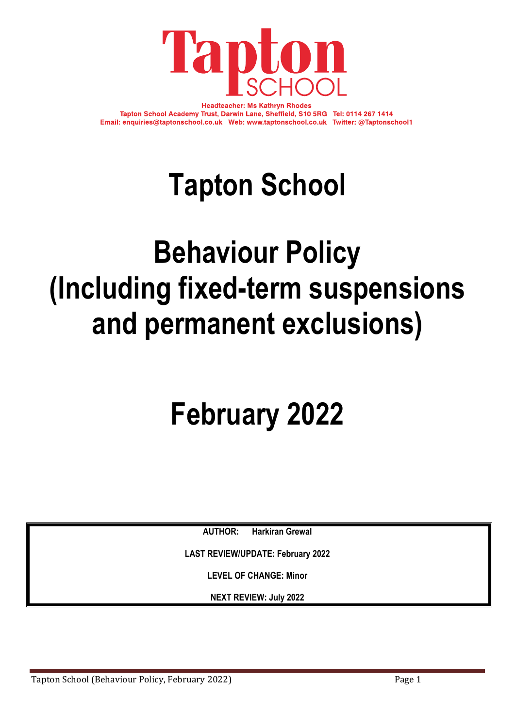

**Headteacher: Ms Kathryn Rhodes** Tapton School Academy Trust, Darwin Lane, Sheffield, S10 5RG Tel: 0114 267 1414 Email: enquiries@taptonschool.co.uk Web: www.taptonschool.co.uk Twitter: @Taptonschool1

# **Tapton School**

# **Behaviour Policy (Including fixed-term suspensions and permanent exclusions)**

# **February 2022**

**AUTHOR: Harkiran Grewal**

**LAST REVIEW/UPDATE: February 2022**

**LEVEL OF CHANGE: Minor**

**NEXT REVIEW: July 2022**

Tapton School (Behaviour Policy, February 2022) Tapton Page 1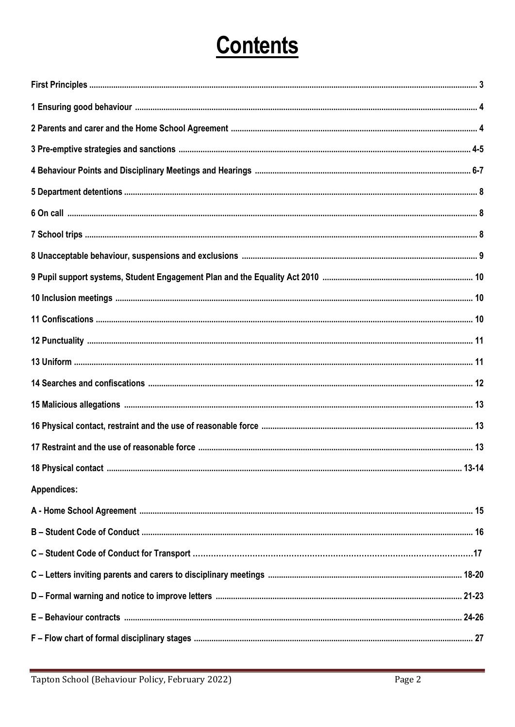## **Contents**

| <b>Appendices:</b> |
|--------------------|
|                    |
|                    |
|                    |
|                    |
|                    |
|                    |
|                    |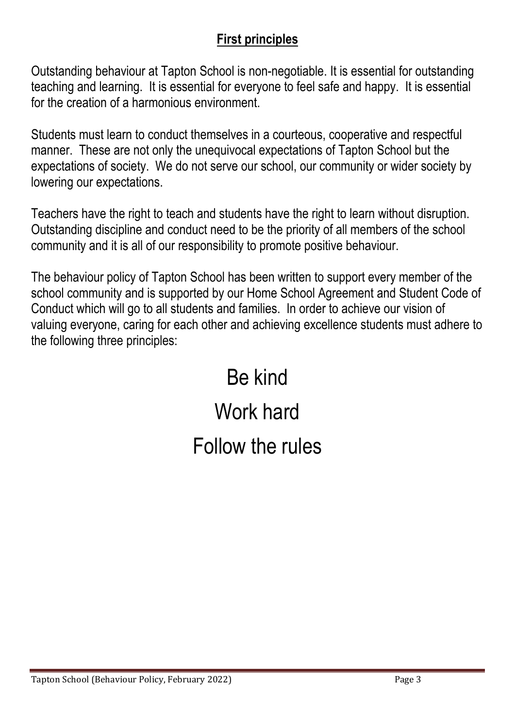#### **First principles**

Outstanding behaviour at Tapton School is non-negotiable. It is essential for outstanding teaching and learning. It is essential for everyone to feel safe and happy. It is essential for the creation of a harmonious environment.

Students must learn to conduct themselves in a courteous, cooperative and respectful manner. These are not only the unequivocal expectations of Tapton School but the expectations of society. We do not serve our school, our community or wider society by lowering our expectations.

Teachers have the right to teach and students have the right to learn without disruption. Outstanding discipline and conduct need to be the priority of all members of the school community and it is all of our responsibility to promote positive behaviour.

The behaviour policy of Tapton School has been written to support every member of the school community and is supported by our Home School Agreement and Student Code of Conduct which will go to all students and families. In order to achieve our vision of valuing everyone, caring for each other and achieving excellence students must adhere to the following three principles:

> Be kind Work hard Follow the rules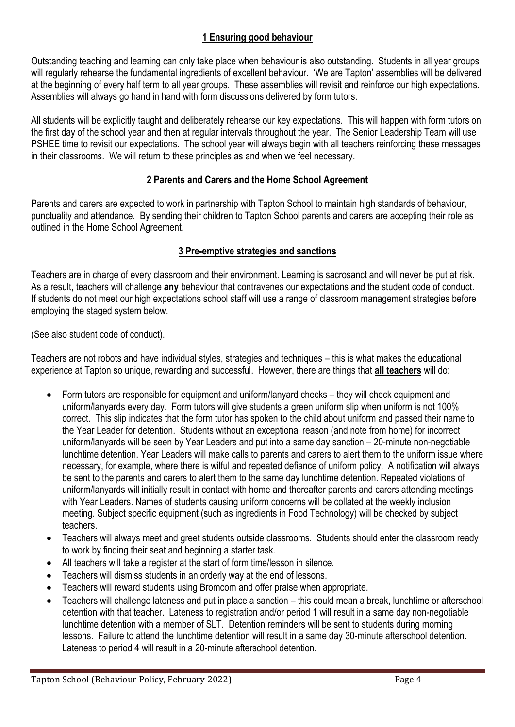#### **1 Ensuring good behaviour**

Outstanding teaching and learning can only take place when behaviour is also outstanding. Students in all year groups will regularly rehearse the fundamental ingredients of excellent behaviour. 'We are Tapton' assemblies will be delivered at the beginning of every half term to all year groups. These assemblies will revisit and reinforce our high expectations. Assemblies will always go hand in hand with form discussions delivered by form tutors.

All students will be explicitly taught and deliberately rehearse our key expectations. This will happen with form tutors on the first day of the school year and then at regular intervals throughout the year. The Senior Leadership Team will use PSHEE time to revisit our expectations. The school year will always begin with all teachers reinforcing these messages in their classrooms. We will return to these principles as and when we feel necessary.

#### **2 Parents and Carers and the Home School Agreement**

Parents and carers are expected to work in partnership with Tapton School to maintain high standards of behaviour, punctuality and attendance. By sending their children to Tapton School parents and carers are accepting their role as outlined in the Home School Agreement.

#### **3 Pre-emptive strategies and sanctions**

Teachers are in charge of every classroom and their environment. Learning is sacrosanct and will never be put at risk. As a result, teachers will challenge **any** behaviour that contravenes our expectations and the student code of conduct. If students do not meet our high expectations school staff will use a range of classroom management strategies before employing the staged system below.

(See also student code of conduct).

Teachers are not robots and have individual styles, strategies and techniques – this is what makes the educational experience at Tapton so unique, rewarding and successful. However, there are things that **all teachers** will do:

- Form tutors are responsible for equipment and uniform/lanyard checks they will check equipment and uniform/lanyards every day. Form tutors will give students a green uniform slip when uniform is not 100% correct. This slip indicates that the form tutor has spoken to the child about uniform and passed their name to the Year Leader for detention. Students without an exceptional reason (and note from home) for incorrect uniform/lanyards will be seen by Year Leaders and put into a same day sanction – 20-minute non-negotiable lunchtime detention. Year Leaders will make calls to parents and carers to alert them to the uniform issue where necessary, for example, where there is wilful and repeated defiance of uniform policy. A notification will always be sent to the parents and carers to alert them to the same day lunchtime detention. Repeated violations of uniform/lanyards will initially result in contact with home and thereafter parents and carers attending meetings with Year Leaders. Names of students causing uniform concerns will be collated at the weekly inclusion meeting. Subject specific equipment (such as ingredients in Food Technology) will be checked by subject teachers.
- Teachers will always meet and greet students outside classrooms. Students should enter the classroom ready to work by finding their seat and beginning a starter task.
- All teachers will take a register at the start of form time/lesson in silence.
- Teachers will dismiss students in an orderly way at the end of lessons.
- Teachers will reward students using Bromcom and offer praise when appropriate.
- Teachers will challenge lateness and put in place a sanction this could mean a break, lunchtime or afterschool detention with that teacher. Lateness to registration and/or period 1 will result in a same day non-negotiable lunchtime detention with a member of SLT. Detention reminders will be sent to students during morning lessons. Failure to attend the lunchtime detention will result in a same day 30-minute afterschool detention. Lateness to period 4 will result in a 20-minute afterschool detention.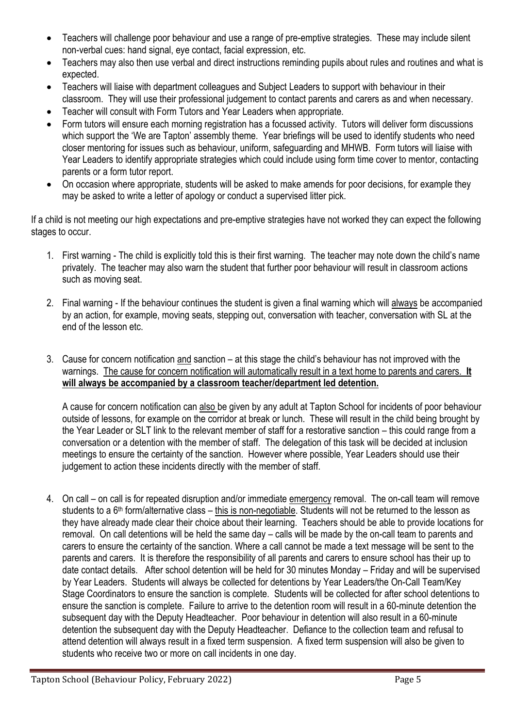- Teachers will challenge poor behaviour and use a range of pre-emptive strategies. These may include silent non-verbal cues: hand signal, eye contact, facial expression, etc.
- Teachers may also then use verbal and direct instructions reminding pupils about rules and routines and what is expected.
- Teachers will liaise with department colleagues and Subject Leaders to support with behaviour in their classroom. They will use their professional judgement to contact parents and carers as and when necessary.
- Teacher will consult with Form Tutors and Year Leaders when appropriate.
- Form tutors will ensure each morning registration has a focussed activity. Tutors will deliver form discussions which support the 'We are Tapton' assembly theme. Year briefings will be used to identify students who need closer mentoring for issues such as behaviour, uniform, safeguarding and MHWB. Form tutors will liaise with Year Leaders to identify appropriate strategies which could include using form time cover to mentor, contacting parents or a form tutor report.
- On occasion where appropriate, students will be asked to make amends for poor decisions, for example they may be asked to write a letter of apology or conduct a supervised litter pick.

If a child is not meeting our high expectations and pre-emptive strategies have not worked they can expect the following stages to occur.

- 1. First warning The child is explicitly told this is their first warning. The teacher may note down the child's name privately. The teacher may also warn the student that further poor behaviour will result in classroom actions such as moving seat.
- 2. Final warning If the behaviour continues the student is given a final warning which will always be accompanied by an action, for example, moving seats, stepping out, conversation with teacher, conversation with SL at the end of the lesson etc.
- 3. Cause for concern notification and sanction at this stage the child's behaviour has not improved with the warnings. The cause for concern notification will automatically result in a text home to parents and carers. **It will always be accompanied by a classroom teacher/department led detention.**

A cause for concern notification can also be given by any adult at Tapton School for incidents of poor behaviour outside of lessons, for example on the corridor at break or lunch. These will result in the child being brought by the Year Leader or SLT link to the relevant member of staff for a restorative sanction – this could range from a conversation or a detention with the member of staff. The delegation of this task will be decided at inclusion meetings to ensure the certainty of the sanction. However where possible, Year Leaders should use their judgement to action these incidents directly with the member of staff.

4. On call – on call is for repeated disruption and/or immediate emergency removal. The on-call team will remove students to a 6<sup>th</sup> form/alternative class – this is non-negotiable. Students will not be returned to the lesson as they have already made clear their choice about their learning. Teachers should be able to provide locations for removal. On call detentions will be held the same day – calls will be made by the on-call team to parents and carers to ensure the certainty of the sanction. Where a call cannot be made a text message will be sent to the parents and carers. It is therefore the responsibility of all parents and carers to ensure school has their up to date contact details. After school detention will be held for 30 minutes Monday – Friday and will be supervised by Year Leaders. Students will always be collected for detentions by Year Leaders/the On-Call Team/Key Stage Coordinators to ensure the sanction is complete. Students will be collected for after school detentions to ensure the sanction is complete. Failure to arrive to the detention room will result in a 60-minute detention the subsequent day with the Deputy Headteacher. Poor behaviour in detention will also result in a 60-minute detention the subsequent day with the Deputy Headteacher. Defiance to the collection team and refusal to attend detention will always result in a fixed term suspension. A fixed term suspension will also be given to students who receive two or more on call incidents in one day.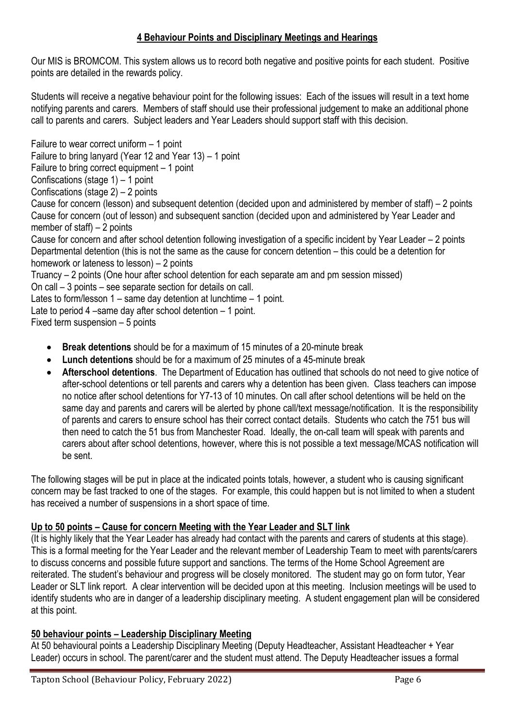#### **4 Behaviour Points and Disciplinary Meetings and Hearings**

Our MIS is BROMCOM. This system allows us to record both negative and positive points for each student. Positive points are detailed in the rewards policy.

Students will receive a negative behaviour point for the following issues: Each of the issues will result in a text home notifying parents and carers. Members of staff should use their professional judgement to make an additional phone call to parents and carers. Subject leaders and Year Leaders should support staff with this decision.

Failure to wear correct uniform – 1 point Failure to bring lanyard (Year 12 and Year 13) – 1 point Failure to bring correct equipment – 1 point Confiscations (stage  $1$ ) – 1 point Confiscations (stage  $2$ ) – 2 points Cause for concern (lesson) and subsequent detention (decided upon and administered by member of staff) – 2 points Cause for concern (out of lesson) and subsequent sanction (decided upon and administered by Year Leader and member of staff) – 2 points Cause for concern and after school detention following investigation of a specific incident by Year Leader – 2 points Departmental detention (this is not the same as the cause for concern detention – this could be a detention for homework or lateness to lesson) – 2 points Truancy – 2 points (One hour after school detention for each separate am and pm session missed) On call – 3 points – see separate section for details on call. Lates to form/lesson 1 – same day detention at lunchtime – 1 point. Late to period 4 –same day after school detention – 1 point. Fixed term suspension – 5 points

- **Break detentions** should be for a maximum of 15 minutes of a 20-minute break
- **Lunch detentions** should be for a maximum of 25 minutes of a 45-minute break
- **Afterschool detentions**. The Department of Education has outlined that schools do not need to give notice of after-school detentions or tell parents and carers why a detention has been given. Class teachers can impose no notice after school detentions for Y7-13 of 10 minutes. On call after school detentions will be held on the same day and parents and carers will be alerted by phone call/text message/notification. It is the responsibility of parents and carers to ensure school has their correct contact details. Students who catch the 751 bus will then need to catch the 51 bus from Manchester Road. Ideally, the on-call team will speak with parents and carers about after school detentions, however, where this is not possible a text message/MCAS notification will be sent.

The following stages will be put in place at the indicated points totals, however, a student who is causing significant concern may be fast tracked to one of the stages. For example, this could happen but is not limited to when a student has received a number of suspensions in a short space of time.

#### **Up to 50 points – Cause for concern Meeting with the Year Leader and SLT link**

(It is highly likely that the Year Leader has already had contact with the parents and carers of students at this stage). This is a formal meeting for the Year Leader and the relevant member of Leadership Team to meet with parents/carers to discuss concerns and possible future support and sanctions. The terms of the Home School Agreement are reiterated. The student's behaviour and progress will be closely monitored. The student may go on form tutor, Year Leader or SLT link report. A clear intervention will be decided upon at this meeting. Inclusion meetings will be used to identify students who are in danger of a leadership disciplinary meeting. A student engagement plan will be considered at this point.

#### **50 behaviour points – Leadership Disciplinary Meeting**

At 50 behavioural points a Leadership Disciplinary Meeting (Deputy Headteacher, Assistant Headteacher + Year Leader) occurs in school. The parent/carer and the student must attend. The Deputy Headteacher issues a formal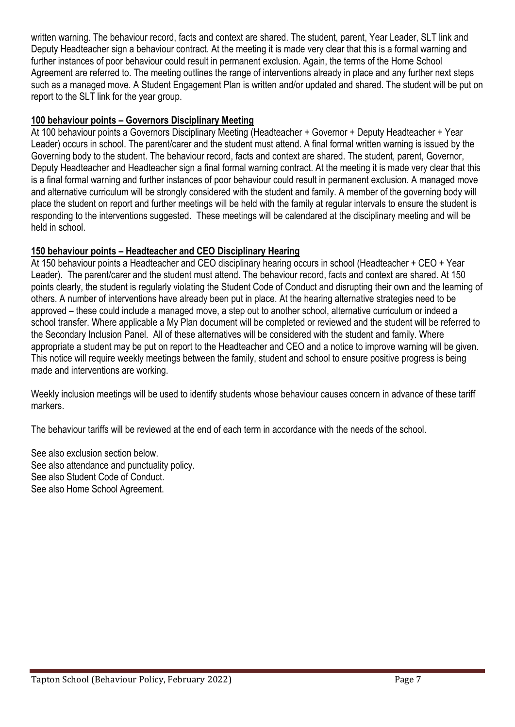written warning. The behaviour record, facts and context are shared. The student, parent, Year Leader, SLT link and Deputy Headteacher sign a behaviour contract. At the meeting it is made very clear that this is a formal warning and further instances of poor behaviour could result in permanent exclusion. Again, the terms of the Home School Agreement are referred to. The meeting outlines the range of interventions already in place and any further next steps such as a managed move. A Student Engagement Plan is written and/or updated and shared. The student will be put on report to the SLT link for the year group.

#### **100 behaviour points – Governors Disciplinary Meeting**

At 100 behaviour points a Governors Disciplinary Meeting (Headteacher + Governor + Deputy Headteacher + Year Leader) occurs in school. The parent/carer and the student must attend. A final formal written warning is issued by the Governing body to the student. The behaviour record, facts and context are shared. The student, parent, Governor, Deputy Headteacher and Headteacher sign a final formal warning contract. At the meeting it is made very clear that this is a final formal warning and further instances of poor behaviour could result in permanent exclusion. A managed move and alternative curriculum will be strongly considered with the student and family. A member of the governing body will place the student on report and further meetings will be held with the family at regular intervals to ensure the student is responding to the interventions suggested. These meetings will be calendared at the disciplinary meeting and will be held in school.

#### **150 behaviour points – Headteacher and CEO Disciplinary Hearing**

At 150 behaviour points a Headteacher and CEO disciplinary hearing occurs in school (Headteacher + CEO + Year Leader). The parent/carer and the student must attend. The behaviour record, facts and context are shared. At 150 points clearly, the student is regularly violating the Student Code of Conduct and disrupting their own and the learning of others. A number of interventions have already been put in place. At the hearing alternative strategies need to be approved – these could include a managed move, a step out to another school, alternative curriculum or indeed a school transfer. Where applicable a My Plan document will be completed or reviewed and the student will be referred to the Secondary Inclusion Panel. All of these alternatives will be considered with the student and family. Where appropriate a student may be put on report to the Headteacher and CEO and a notice to improve warning will be given. This notice will require weekly meetings between the family, student and school to ensure positive progress is being made and interventions are working.

Weekly inclusion meetings will be used to identify students whose behaviour causes concern in advance of these tariff markers.

The behaviour tariffs will be reviewed at the end of each term in accordance with the needs of the school.

See also exclusion section below. See also attendance and punctuality policy. See also Student Code of Conduct. See also Home School Agreement.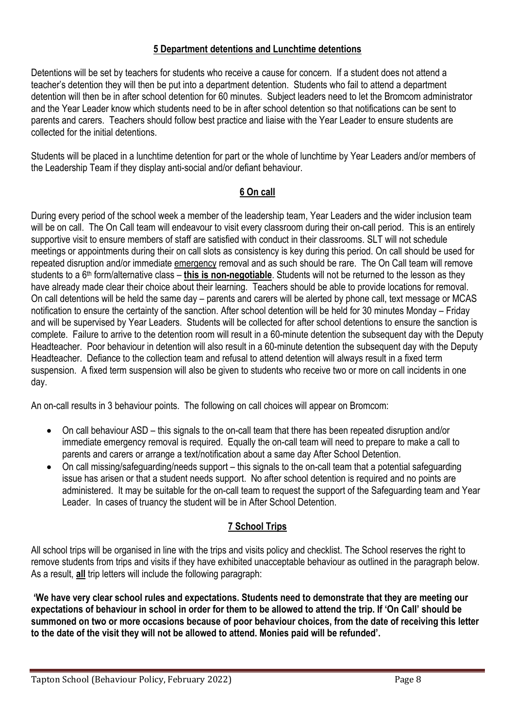#### **5 Department detentions and Lunchtime detentions**

Detentions will be set by teachers for students who receive a cause for concern. If a student does not attend a teacher's detention they will then be put into a department detention. Students who fail to attend a department detention will then be in after school detention for 60 minutes. Subject leaders need to let the Bromcom administrator and the Year Leader know which students need to be in after school detention so that notifications can be sent to parents and carers. Teachers should follow best practice and liaise with the Year Leader to ensure students are collected for the initial detentions.

Students will be placed in a lunchtime detention for part or the whole of lunchtime by Year Leaders and/or members of the Leadership Team if they display anti-social and/or defiant behaviour.

#### **6 On call**

During every period of the school week a member of the leadership team, Year Leaders and the wider inclusion team will be on call. The On Call team will endeavour to visit every classroom during their on-call period. This is an entirely supportive visit to ensure members of staff are satisfied with conduct in their classrooms. SLT will not schedule meetings or appointments during their on call slots as consistency is key during this period. On call should be used for repeated disruption and/or immediate emergency removal and as such should be rare. The On Call team will remove students to a 6th form/alternative class – **this is non-negotiable**. Students will not be returned to the lesson as they have already made clear their choice about their learning. Teachers should be able to provide locations for removal. On call detentions will be held the same day – parents and carers will be alerted by phone call, text message or MCAS notification to ensure the certainty of the sanction. After school detention will be held for 30 minutes Monday – Friday and will be supervised by Year Leaders. Students will be collected for after school detentions to ensure the sanction is complete. Failure to arrive to the detention room will result in a 60-minute detention the subsequent day with the Deputy Headteacher. Poor behaviour in detention will also result in a 60-minute detention the subsequent day with the Deputy Headteacher. Defiance to the collection team and refusal to attend detention will always result in a fixed term suspension. A fixed term suspension will also be given to students who receive two or more on call incidents in one day.

An on-call results in 3 behaviour points. The following on call choices will appear on Bromcom:

- On call behaviour ASD this signals to the on-call team that there has been repeated disruption and/or immediate emergency removal is required. Equally the on-call team will need to prepare to make a call to parents and carers or arrange a text/notification about a same day After School Detention.
- On call missing/safeguarding/needs support this signals to the on-call team that a potential safeguarding issue has arisen or that a student needs support. No after school detention is required and no points are administered. It may be suitable for the on-call team to request the support of the Safeguarding team and Year Leader. In cases of truancy the student will be in After School Detention.

#### **7 School Trips**

All school trips will be organised in line with the trips and visits policy and checklist. The School reserves the right to remove students from trips and visits if they have exhibited unacceptable behaviour as outlined in the paragraph below. As a result, **all** trip letters will include the following paragraph:

**'We have very clear school rules and expectations. Students need to demonstrate that they are meeting our expectations of behaviour in school in order for them to be allowed to attend the trip. If 'On Call' should be summoned on two or more occasions because of poor behaviour choices, from the date of receiving this letter to the date of the visit they will not be allowed to attend. Monies paid will be refunded'.**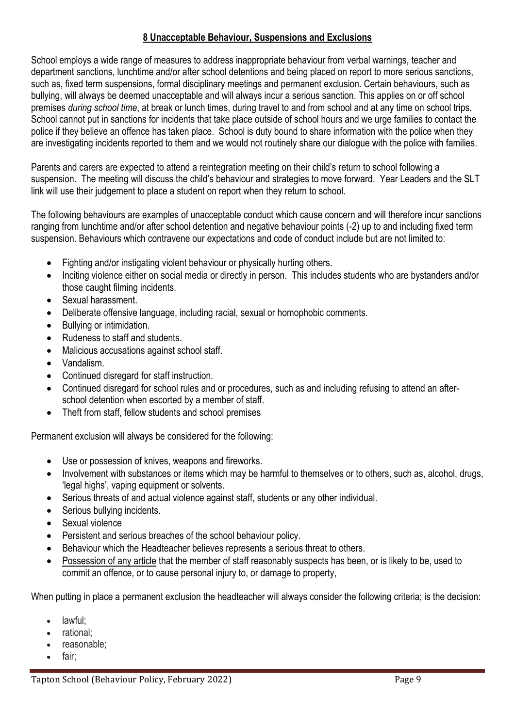#### **8 Unacceptable Behaviour, Suspensions and Exclusions**

School employs a wide range of measures to address inappropriate behaviour from verbal warnings, teacher and department sanctions, lunchtime and/or after school detentions and being placed on report to more serious sanctions, such as, fixed term suspensions, formal disciplinary meetings and permanent exclusion. Certain behaviours, such as bullying, will always be deemed unacceptable and will always incur a serious sanction. This applies on or off school premises *during school time*, at break or lunch times, during travel to and from school and at any time on school trips. School cannot put in sanctions for incidents that take place outside of school hours and we urge families to contact the police if they believe an offence has taken place. School is duty bound to share information with the police when they are investigating incidents reported to them and we would not routinely share our dialogue with the police with families.

Parents and carers are expected to attend a reintegration meeting on their child's return to school following a suspension. The meeting will discuss the child's behaviour and strategies to move forward. Year Leaders and the SLT link will use their judgement to place a student on report when they return to school.

The following behaviours are examples of unacceptable conduct which cause concern and will therefore incur sanctions ranging from lunchtime and/or after school detention and negative behaviour points (-2) up to and including fixed term suspension. Behaviours which contravene our expectations and code of conduct include but are not limited to:

- Fighting and/or instigating violent behaviour or physically hurting others.
- Inciting violence either on social media or directly in person. This includes students who are bystanders and/or those caught filming incidents.
- Sexual harassment.
- Deliberate offensive language, including racial, sexual or homophobic comments.
- Bullying or intimidation.
- Rudeness to staff and students.
- Malicious accusations against school staff.
- Vandalism.
- Continued disregard for staff instruction.
- Continued disregard for school rules and or procedures, such as and including refusing to attend an afterschool detention when escorted by a member of staff.
- Theft from staff, fellow students and school premises

Permanent exclusion will always be considered for the following:

- Use or possession of knives, weapons and fireworks.
- Involvement with substances or items which may be harmful to themselves or to others, such as, alcohol, drugs, 'legal highs', vaping equipment or solvents.
- Serious threats of and actual violence against staff, students or any other individual.
- Serious bullying incidents.
- Sexual violence
- Persistent and serious breaches of the school behaviour policy.
- Behaviour which the Headteacher believes represents a serious threat to others.
- Possession of any article that the member of staff reasonably suspects has been, or is likely to be, used to commit an offence, or to cause personal injury to, or damage to property,

When putting in place a permanent exclusion the headteacher will always consider the following criteria; is the decision:

- lawful;
- rational;
- reasonable;
- fair: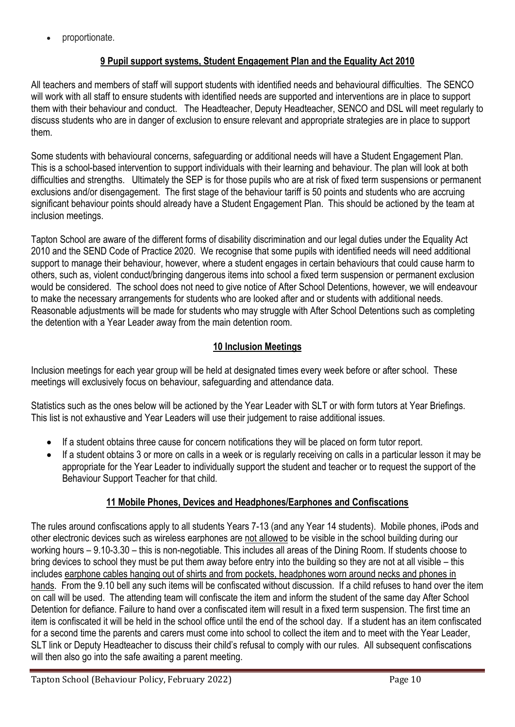• proportionate.

#### **9 Pupil support systems, Student Engagement Plan and the Equality Act 2010**

All teachers and members of staff will support students with identified needs and behavioural difficulties. The SENCO will work with all staff to ensure students with identified needs are supported and interventions are in place to support them with their behaviour and conduct. The Headteacher, Deputy Headteacher, SENCO and DSL will meet regularly to discuss students who are in danger of exclusion to ensure relevant and appropriate strategies are in place to support them.

Some students with behavioural concerns, safeguarding or additional needs will have a Student Engagement Plan. This is a school-based intervention to support individuals with their learning and behaviour. The plan will look at both difficulties and strengths. Ultimately the SEP is for those pupils who are at risk of fixed term suspensions or permanent exclusions and/or disengagement. The first stage of the behaviour tariff is 50 points and students who are accruing significant behaviour points should already have a Student Engagement Plan. This should be actioned by the team at inclusion meetings.

Tapton School are aware of the different forms of disability discrimination and our legal duties under the Equality Act 2010 and the SEND Code of Practice 2020. We recognise that some pupils with identified needs will need additional support to manage their behaviour, however, where a student engages in certain behaviours that could cause harm to others, such as, violent conduct/bringing dangerous items into school a fixed term suspension or permanent exclusion would be considered. The school does not need to give notice of After School Detentions, however, we will endeavour to make the necessary arrangements for students who are looked after and or students with additional needs. Reasonable adjustments will be made for students who may struggle with After School Detentions such as completing the detention with a Year Leader away from the main detention room.

#### **10 Inclusion Meetings**

Inclusion meetings for each year group will be held at designated times every week before or after school. These meetings will exclusively focus on behaviour, safeguarding and attendance data.

Statistics such as the ones below will be actioned by the Year Leader with SLT or with form tutors at Year Briefings. This list is not exhaustive and Year Leaders will use their judgement to raise additional issues.

- If a student obtains three cause for concern notifications they will be placed on form tutor report.
- If a student obtains 3 or more on calls in a week or is regularly receiving on calls in a particular lesson it may be appropriate for the Year Leader to individually support the student and teacher or to request the support of the Behaviour Support Teacher for that child.

#### **11 Mobile Phones, Devices and Headphones/Earphones and Confiscations**

The rules around confiscations apply to all students Years 7-13 (and any Year 14 students). Mobile phones, iPods and other electronic devices such as wireless earphones are not allowed to be visible in the school building during our working hours – 9.10-3.30 – this is non-negotiable. This includes all areas of the Dining Room. If students choose to bring devices to school they must be put them away before entry into the building so they are not at all visible – this includes earphone cables hanging out of shirts and from pockets, headphones worn around necks and phones in hands. From the 9.10 bell any such items will be confiscated without discussion. If a child refuses to hand over the item on call will be used. The attending team will confiscate the item and inform the student of the same day After School Detention for defiance. Failure to hand over a confiscated item will result in a fixed term suspension. The first time an item is confiscated it will be held in the school office until the end of the school day. If a student has an item confiscated for a second time the parents and carers must come into school to collect the item and to meet with the Year Leader, SLT link or Deputy Headteacher to discuss their child's refusal to comply with our rules. All subsequent confiscations will then also go into the safe awaiting a parent meeting.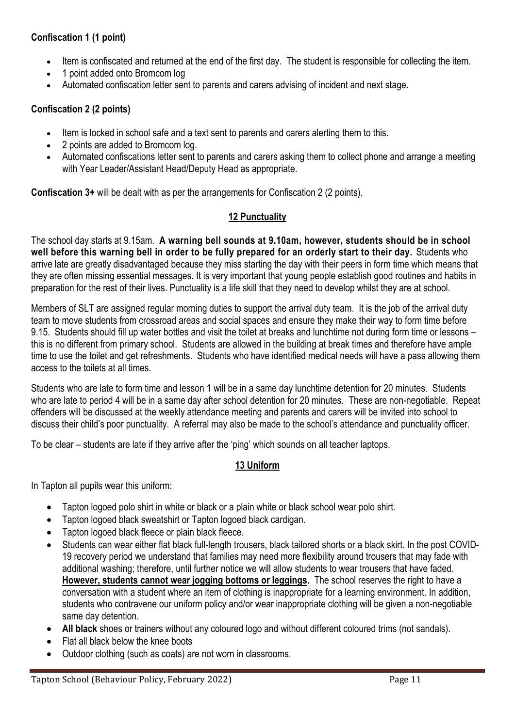#### **Confiscation 1 (1 point)**

- Item is confiscated and returned at the end of the first day. The student is responsible for collecting the item.
- 1 point added onto Bromcom log
- Automated confiscation letter sent to parents and carers advising of incident and next stage.

#### **Confiscation 2 (2 points)**

- Item is locked in school safe and a text sent to parents and carers alerting them to this.
- 2 points are added to Bromcom log.
- Automated confiscations letter sent to parents and carers asking them to collect phone and arrange a meeting with Year Leader/Assistant Head/Deputy Head as appropriate.

**Confiscation 3+** will be dealt with as per the arrangements for Confiscation 2 (2 points).

#### **12 Punctuality**

The school day starts at 9.15am. **A warning bell sounds at 9.10am, however, students should be in school well before this warning bell in order to be fully prepared for an orderly start to their day.** Students who arrive late are greatly disadvantaged because they miss starting the day with their peers in form time which means that they are often missing essential messages. It is very important that young people establish good routines and habits in preparation for the rest of their lives. Punctuality is a life skill that they need to develop whilst they are at school.

Members of SLT are assigned regular morning duties to support the arrival duty team. It is the job of the arrival duty team to move students from crossroad areas and social spaces and ensure they make their way to form time before 9.15. Students should fill up water bottles and visit the toilet at breaks and lunchtime not during form time or lessons – this is no different from primary school. Students are allowed in the building at break times and therefore have ample time to use the toilet and get refreshments. Students who have identified medical needs will have a pass allowing them access to the toilets at all times.

Students who are late to form time and lesson 1 will be in a same day lunchtime detention for 20 minutes. Students who are late to period 4 will be in a same day after school detention for 20 minutes. These are non-negotiable. Repeat offenders will be discussed at the weekly attendance meeting and parents and carers will be invited into school to discuss their child's poor punctuality. A referral may also be made to the school's attendance and punctuality officer.

To be clear – students are late if they arrive after the 'ping' which sounds on all teacher laptops.

#### **13 Uniform**

In Tapton all pupils wear this uniform:

- Tapton logoed polo shirt in white or black or a plain white or black school wear polo shirt.
- Tapton logoed black sweatshirt or Tapton logoed black cardigan.
- Tapton logoed black fleece or plain black fleece.
- Students can wear either flat black full-length trousers, black tailored shorts or a black skirt. In the post COVID-19 recovery period we understand that families may need more flexibility around trousers that may fade with additional washing; therefore, until further notice we will allow students to wear trousers that have faded. **However, students cannot wear jogging bottoms or leggings.** The school reserves the right to have a conversation with a student where an item of clothing is inappropriate for a learning environment. In addition, students who contravene our uniform policy and/or wear inappropriate clothing will be given a non-negotiable same day detention.
- **All black** shoes or trainers without any coloured logo and without different coloured trims (not sandals).
- Flat all black below the knee boots
- Outdoor clothing (such as coats) are not worn in classrooms.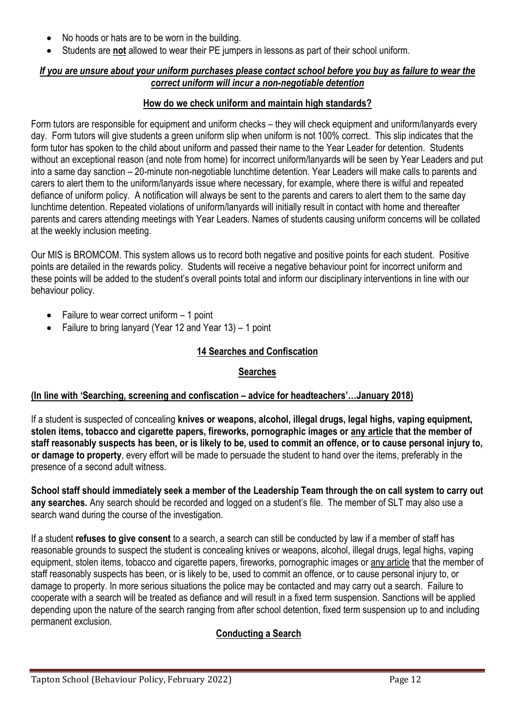- No hoods or hats are to be worn in the building.
- Students are **not** allowed to wear their PE jumpers in lessons as part of their school uniform.

#### *If you are unsure about your uniform purchases please contact school before you buy as failure to wear the correct uniform will incur a non-negotiable detention*

#### **How do we check uniform and maintain high standards?**

Form tutors are responsible for equipment and uniform checks – they will check equipment and uniform/lanyards every day. Form tutors will give students a green uniform slip when uniform is not 100% correct. This slip indicates that the form tutor has spoken to the child about uniform and passed their name to the Year Leader for detention. Students without an exceptional reason (and note from home) for incorrect uniform/lanyards will be seen by Year Leaders and put into a same day sanction – 20-minute non-negotiable lunchtime detention. Year Leaders will make calls to parents and carers to alert them to the uniform/lanyards issue where necessary, for example, where there is wilful and repeated defiance of uniform policy. A notification will always be sent to the parents and carers to alert them to the same day lunchtime detention. Repeated violations of uniform/lanyards will initially result in contact with home and thereafter parents and carers attending meetings with Year Leaders. Names of students causing uniform concerns will be collated at the weekly inclusion meeting.

Our MIS is BROMCOM. This system allows us to record both negative and positive points for each student. Positive points are detailed in the rewards policy. Students will receive a negative behaviour point for incorrect uniform and these points will be added to the student's overall points total and inform our disciplinary interventions in line with our behaviour policy.

- Failure to wear correct uniform  $-1$  point
- Failure to bring lanyard (Year 12 and Year 13) 1 point

#### **14 Searches and Confiscation**

#### **Searches**

#### **(In line with 'Searching, screening and confiscation – advice for headteachers'…January 2018)**

If a student is suspected of concealing **knives or weapons, alcohol, illegal drugs, legal highs, vaping equipment, stolen items, tobacco and cigarette papers, fireworks, pornographic images or any article that the member of staff reasonably suspects has been, or is likely to be, used to commit an offence, or to cause personal injury to, or damage to property**, every effort will be made to persuade the student to hand over the items, preferably in the presence of a second adult witness.

**School staff should immediately seek a member of the Leadership Team through the on call system to carry out any searches.** Any search should be recorded and logged on a student's file. The member of SLT may also use a search wand during the course of the investigation.

If a student **refuses to give consent** to a search, a search can still be conducted by law if a member of staff has reasonable grounds to suspect the student is concealing knives or weapons, alcohol, illegal drugs, legal highs, vaping equipment, stolen items, tobacco and cigarette papers, fireworks, pornographic images or any article that the member of staff reasonably suspects has been, or is likely to be, used to commit an offence, or to cause personal injury to, or damage to property. In more serious situations the police may be contacted and may carry out a search. Failure to cooperate with a search will be treated as defiance and will result in a fixed term suspension. Sanctions will be applied depending upon the nature of the search ranging from after school detention, fixed term suspension up to and including permanent exclusion.

#### **Conducting a Search**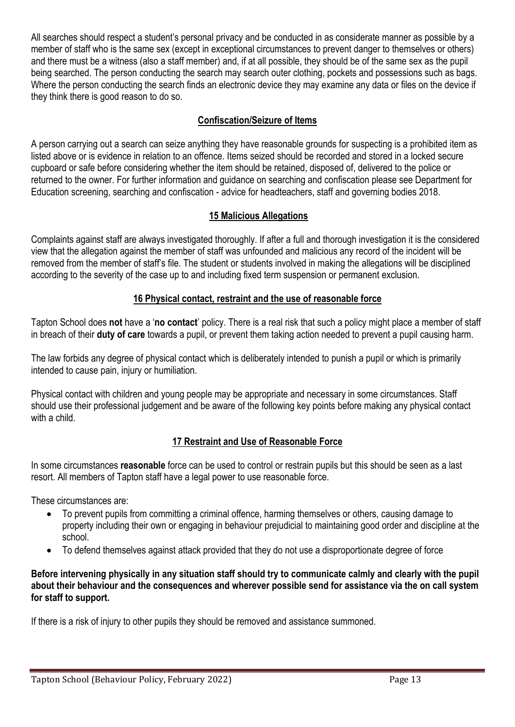All searches should respect a student's personal privacy and be conducted in as considerate manner as possible by a member of staff who is the same sex (except in exceptional circumstances to prevent danger to themselves or others) and there must be a witness (also a staff member) and, if at all possible, they should be of the same sex as the pupil being searched. The person conducting the search may search outer clothing, pockets and possessions such as bags. Where the person conducting the search finds an electronic device they may examine any data or files on the device if they think there is good reason to do so.

#### **Confiscation/Seizure of Items**

A person carrying out a search can seize anything they have reasonable grounds for suspecting is a prohibited item as listed above or is evidence in relation to an offence. Items seized should be recorded and stored in a locked secure cupboard or safe before considering whether the item should be retained, disposed of, delivered to the police or returned to the owner. For further information and guidance on searching and confiscation please see Department for Education screening, searching and confiscation - advice for headteachers, staff and governing bodies 2018.

#### **15 Malicious Allegations**

Complaints against staff are always investigated thoroughly. If after a full and thorough investigation it is the considered view that the allegation against the member of staff was unfounded and malicious any record of the incident will be removed from the member of staff's file. The student or students involved in making the allegations will be disciplined according to the severity of the case up to and including fixed term suspension or permanent exclusion.

#### **16 Physical contact, restraint and the use of reasonable force**

Tapton School does **not** have a '**no contact**' policy. There is a real risk that such a policy might place a member of staff in breach of their **duty of care** towards a pupil, or prevent them taking action needed to prevent a pupil causing harm.

The law forbids any degree of physical contact which is deliberately intended to punish a pupil or which is primarily intended to cause pain, injury or humiliation.

Physical contact with children and young people may be appropriate and necessary in some circumstances. Staff should use their professional judgement and be aware of the following key points before making any physical contact with a child.

#### **17 Restraint and Use of Reasonable Force**

In some circumstances **reasonable** force can be used to control or restrain pupils but this should be seen as a last resort. All members of Tapton staff have a legal power to use reasonable force.

These circumstances are:

- To prevent pupils from committing a criminal offence, harming themselves or others, causing damage to property including their own or engaging in behaviour prejudicial to maintaining good order and discipline at the school.
- To defend themselves against attack provided that they do not use a disproportionate degree of force

**Before intervening physically in any situation staff should try to communicate calmly and clearly with the pupil about their behaviour and the consequences and wherever possible send for assistance via the on call system for staff to support.**

If there is a risk of injury to other pupils they should be removed and assistance summoned.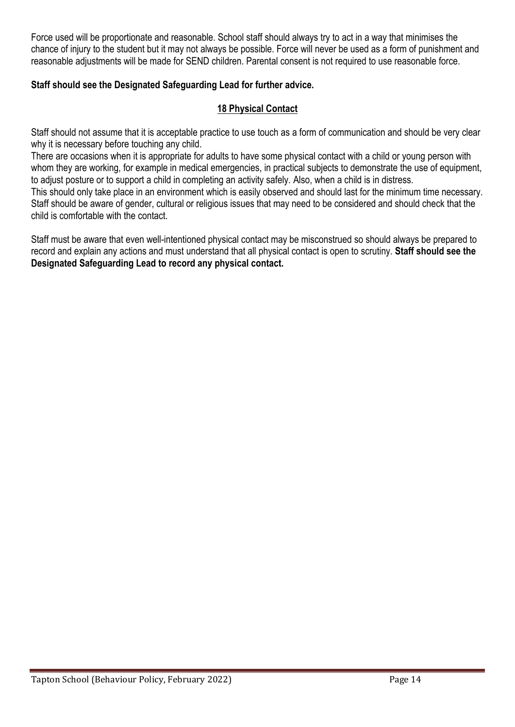Force used will be proportionate and reasonable. School staff should always try to act in a way that minimises the chance of injury to the student but it may not always be possible. Force will never be used as a form of punishment and reasonable adjustments will be made for SEND children. Parental consent is not required to use reasonable force.

#### **Staff should see the Designated Safeguarding Lead for further advice.**

#### **18 Physical Contact**

Staff should not assume that it is acceptable practice to use touch as a form of communication and should be very clear why it is necessary before touching any child.

There are occasions when it is appropriate for adults to have some physical contact with a child or young person with whom they are working, for example in medical emergencies, in practical subjects to demonstrate the use of equipment, to adjust posture or to support a child in completing an activity safely. Also, when a child is in distress.

This should only take place in an environment which is easily observed and should last for the minimum time necessary. Staff should be aware of gender, cultural or religious issues that may need to be considered and should check that the child is comfortable with the contact.

Staff must be aware that even well-intentioned physical contact may be misconstrued so should always be prepared to record and explain any actions and must understand that all physical contact is open to scrutiny. **Staff should see the Designated Safeguarding Lead to record any physical contact.**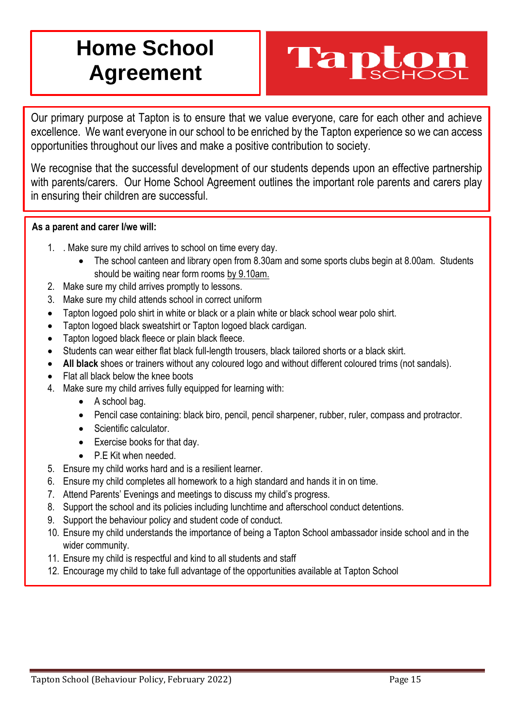## **Home School Agreement**

# Tapt

Our primary purpose at Tapton is to ensure that we value everyone, care for each other and achieve excellence. We want everyone in our school to be enriched by the Tapton experience so we can access opportunities throughout our lives and make a positive contribution to society.

We recognise that the successful development of our students depends upon an effective partnership with parents/carers. Our Home School Agreement outlines the important role parents and carers play in ensuring their children are successful.

#### **As a parent and carer I/we will:**

- 1. . Make sure my child arrives to school on time every day.
	- The school canteen and library open from 8.30am and some sports clubs begin at 8.00am. Students should be waiting near form rooms by 9.10am.
- 2. Make sure my child arrives promptly to lessons.
- 3. Make sure my child attends school in correct uniform
- Tapton logoed polo shirt in white or black or a plain white or black school wear polo shirt.
- Tapton logoed black sweatshirt or Tapton logoed black cardigan.
- Tapton logoed black fleece or plain black fleece.
- Students can wear either flat black full-length trousers, black tailored shorts or a black skirt.
- **All black** shoes or trainers without any coloured logo and without different coloured trims (not sandals).
- Flat all black below the knee boots
- 4. Make sure my child arrives fully equipped for learning with:
	- A school bag.
	- Pencil case containing: black biro, pencil, pencil sharpener, rubber, ruler, compass and protractor.
	- Scientific calculator.
	- Exercise books for that day.
	- P.E Kit when needed.
- 5. Ensure my child works hard and is a resilient learner.
- 6. Ensure my child completes all homework to a high standard and hands it in on time.
- 7. Attend Parents' Evenings and meetings to discuss my child's progress.
- 8. Support the school and its policies including lunchtime and afterschool conduct detentions.
- 9. Support the behaviour policy and student code of conduct.
- 10. Ensure my child understands the importance of being a Tapton School ambassador inside school and in the wider community.
- 11. Ensure my child is respectful and kind to all students and staff
- 12. Encourage my child to take full advantage of the opportunities available at Tapton School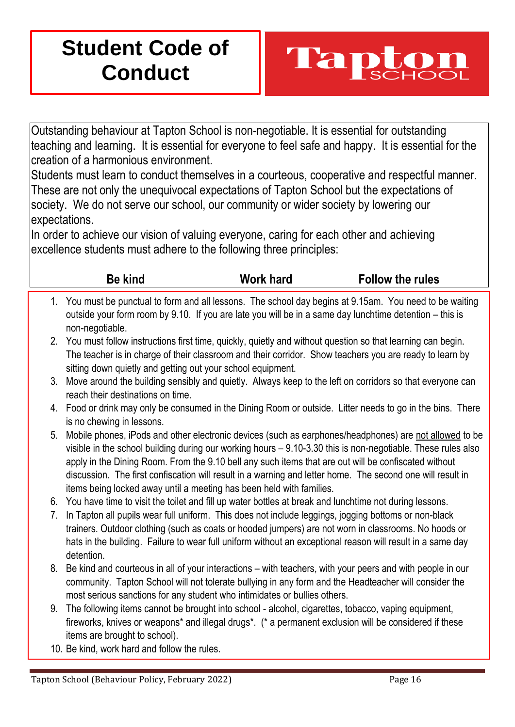## **Student Code of Conduct**



Outstanding behaviour at Tapton School is non-negotiable. It is essential for outstanding teaching and learning. It is essential for everyone to feel safe and happy. It is essential for the creation of a harmonious environment.

Students must learn to conduct themselves in a courteous, cooperative and respectful manner. These are not only the unequivocal expectations of Tapton School but the expectations of society. We do not serve our school, our community or wider society by lowering our expectations.

In order to achieve our vision of valuing everyone, caring for each other and achieving excellence students must adhere to the following three principles:

|          | <b>Be kind</b>                                                                                                                                                                                                                                                                                  | <b>Work hard</b> | <b>Follow the rules</b>                                                                                                                                                                                                |
|----------|-------------------------------------------------------------------------------------------------------------------------------------------------------------------------------------------------------------------------------------------------------------------------------------------------|------------------|------------------------------------------------------------------------------------------------------------------------------------------------------------------------------------------------------------------------|
|          | 1. You must be punctual to form and all lessons. The school day begins at 9.15am. You need to be waiting<br>outside your form room by 9.10. If you are late you will be in a same day lunchtime detention – this is<br>non-negotiable.                                                          |                  |                                                                                                                                                                                                                        |
|          | 2. You must follow instructions first time, quickly, quietly and without question so that learning can begin.<br>The teacher is in charge of their classroom and their corridor. Show teachers you are ready to learn by<br>sitting down quietly and getting out your school equipment.         |                  |                                                                                                                                                                                                                        |
| 3.       | Move around the building sensibly and quietly. Always keep to the left on corridors so that everyone can<br>reach their destinations on time.                                                                                                                                                   |                  |                                                                                                                                                                                                                        |
| 4.       | Food or drink may only be consumed in the Dining Room or outside. Litter needs to go in the bins. There<br>is no chewing in lessons.                                                                                                                                                            |                  |                                                                                                                                                                                                                        |
| 5.       | apply in the Dining Room. From the 9.10 bell any such items that are out will be confiscated without<br>discussion. The first confiscation will result in a warning and letter home. The second one will result in<br>items being locked away until a meeting has been held with families.      |                  | Mobile phones, iPods and other electronic devices (such as earphones/headphones) are not allowed to be<br>visible in the school building during our working hours - 9.10-3.30 this is non-negotiable. These rules also |
| 6.<br>7. | You have time to visit the toilet and fill up water bottles at break and lunchtime not during lessons.<br>In Tapton all pupils wear full uniform. This does not include leggings, jogging bottoms or non-black                                                                                  |                  |                                                                                                                                                                                                                        |
|          | trainers. Outdoor clothing (such as coats or hooded jumpers) are not worn in classrooms. No hoods or<br>hats in the building. Failure to wear full uniform without an exceptional reason will result in a same day<br>detention.                                                                |                  |                                                                                                                                                                                                                        |
| 8.       | Be kind and courteous in all of your interactions – with teachers, with your peers and with people in our<br>community. Tapton School will not tolerate bullying in any form and the Headteacher will consider the<br>most serious sanctions for any student who intimidates or bullies others. |                  |                                                                                                                                                                                                                        |
| 9.       | The following items cannot be brought into school - alcohol, cigarettes, tobacco, vaping equipment,<br>fireworks, knives or weapons* and illegal drugs*. (* a permanent exclusion will be considered if these<br>items are brought to school).                                                  |                  |                                                                                                                                                                                                                        |

10. Be kind, work hard and follow the rules.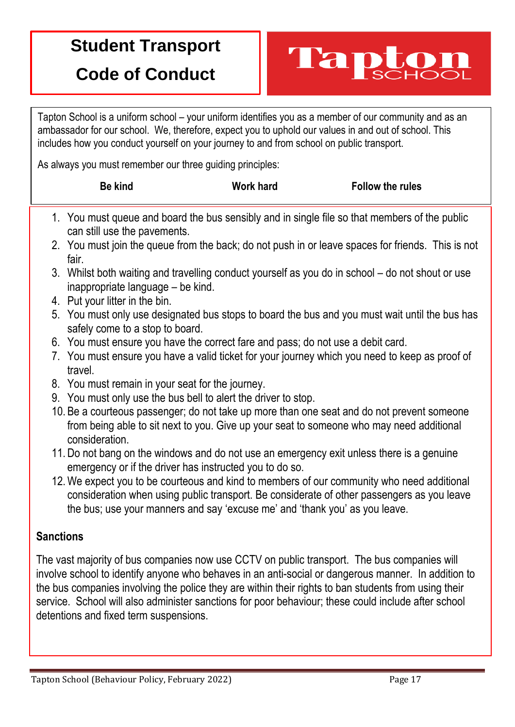## **Student Transport**

## **Code of Conduct**

Tapton School is a uniform school – your uniform identifies you as a member of our community and as an ambassador for our school. We, therefore, expect you to uphold our values in and out of school. This includes how you conduct yourself on your journey to and from school on public transport.

Tapt

As always you must remember our three guiding principles:

| <b>Be kind</b> | <b>Work hard</b> | <b>Follow the rules</b> |
|----------------|------------------|-------------------------|
|                |                  |                         |

- 1. You must queue and board the bus sensibly and in single file so that members of the public can still use the pavements.
- 2. You must join the queue from the back; do not push in or leave spaces for friends. This is not fair.
- 3. Whilst both waiting and travelling conduct yourself as you do in school do not shout or use inappropriate language – be kind.
- 4. Put your litter in the bin.
- 5. You must only use designated bus stops to board the bus and you must wait until the bus has safely come to a stop to board.
- 6. You must ensure you have the correct fare and pass; do not use a debit card.
- 7. You must ensure you have a valid ticket for your journey which you need to keep as proof of travel.
- 8. You must remain in your seat for the journey.
- 9. You must only use the bus bell to alert the driver to stop.
- 10. Be a courteous passenger; do not take up more than one seat and do not prevent someone from being able to sit next to you. Give up your seat to someone who may need additional consideration.
- 11. Do not bang on the windows and do not use an emergency exit unless there is a genuine emergency or if the driver has instructed you to do so.
- 12.We expect you to be courteous and kind to members of our community who need additional consideration when using public transport. Be considerate of other passengers as you leave the bus; use your manners and say 'excuse me' and 'thank you' as you leave.

#### **Sanctions**

The vast majority of bus companies now use CCTV on public transport. The bus companies will involve school to identify anyone who behaves in an anti-social or dangerous manner. In addition to the bus companies involving the police they are within their rights to ban students from using their service. School will also administer sanctions for poor behaviour; these could include after school detentions and fixed term suspensions.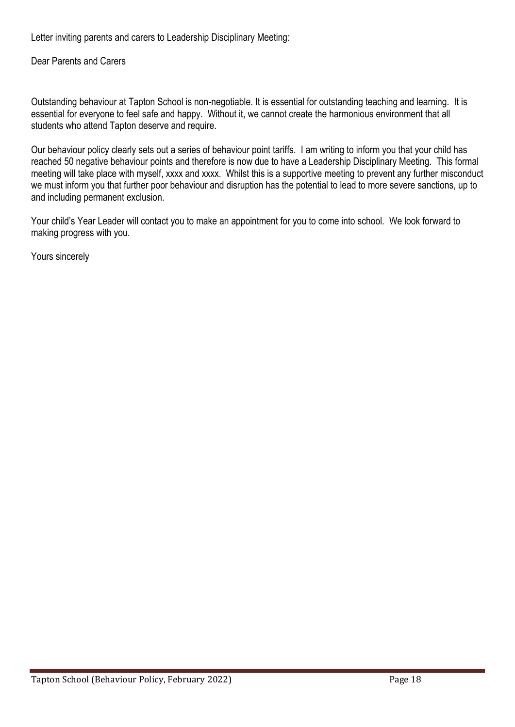Letter inviting parents and carers to Leadership Disciplinary Meeting:

Dear Parents and Carers

Outstanding behaviour at Tapton School is non-negotiable. It is essential for outstanding teaching and learning. It is essential for everyone to feel safe and happy. Without it, we cannot create the harmonious environment that all students who attend Tapton deserve and require.

Our behaviour policy clearly sets out a series of behaviour point tariffs. I am writing to inform you that your child has reached 50 negative behaviour points and therefore is now due to have a Leadership Disciplinary Meeting. This formal meeting will take place with myself, xxxx and xxxx. Whilst this is a supportive meeting to prevent any further misconduct we must inform you that further poor behaviour and disruption has the potential to lead to more severe sanctions, up to and including permanent exclusion.

Your child's Year Leader will contact you to make an appointment for you to come into school. We look forward to making progress with you.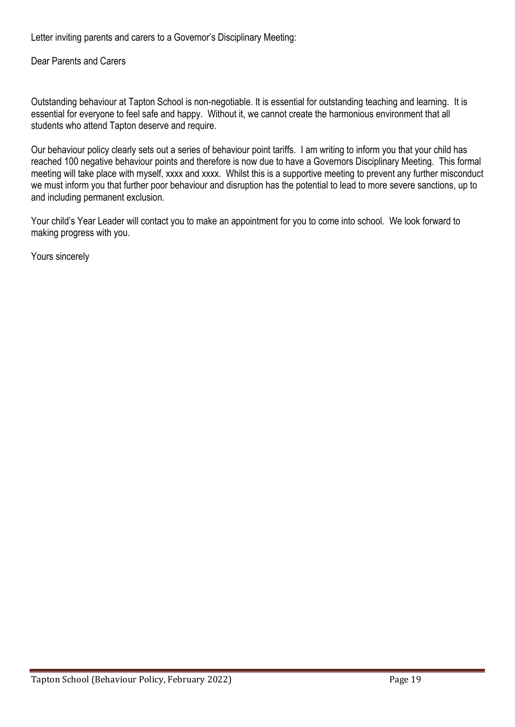Letter inviting parents and carers to a Governor's Disciplinary Meeting:

Dear Parents and Carers

Outstanding behaviour at Tapton School is non-negotiable. It is essential for outstanding teaching and learning. It is essential for everyone to feel safe and happy. Without it, we cannot create the harmonious environment that all students who attend Tapton deserve and require.

Our behaviour policy clearly sets out a series of behaviour point tariffs. I am writing to inform you that your child has reached 100 negative behaviour points and therefore is now due to have a Governors Disciplinary Meeting. This formal meeting will take place with myself, xxxx and xxxx. Whilst this is a supportive meeting to prevent any further misconduct we must inform you that further poor behaviour and disruption has the potential to lead to more severe sanctions, up to and including permanent exclusion.

Your child's Year Leader will contact you to make an appointment for you to come into school. We look forward to making progress with you.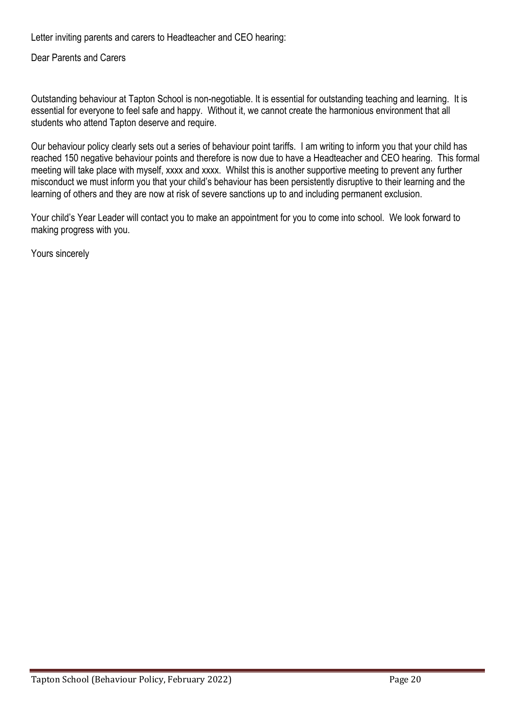Letter inviting parents and carers to Headteacher and CEO hearing:

Dear Parents and Carers

Outstanding behaviour at Tapton School is non-negotiable. It is essential for outstanding teaching and learning. It is essential for everyone to feel safe and happy. Without it, we cannot create the harmonious environment that all students who attend Tapton deserve and require.

Our behaviour policy clearly sets out a series of behaviour point tariffs. I am writing to inform you that your child has reached 150 negative behaviour points and therefore is now due to have a Headteacher and CEO hearing. This formal meeting will take place with myself, xxxx and xxxx. Whilst this is another supportive meeting to prevent any further misconduct we must inform you that your child's behaviour has been persistently disruptive to their learning and the learning of others and they are now at risk of severe sanctions up to and including permanent exclusion.

Your child's Year Leader will contact you to make an appointment for you to come into school. We look forward to making progress with you.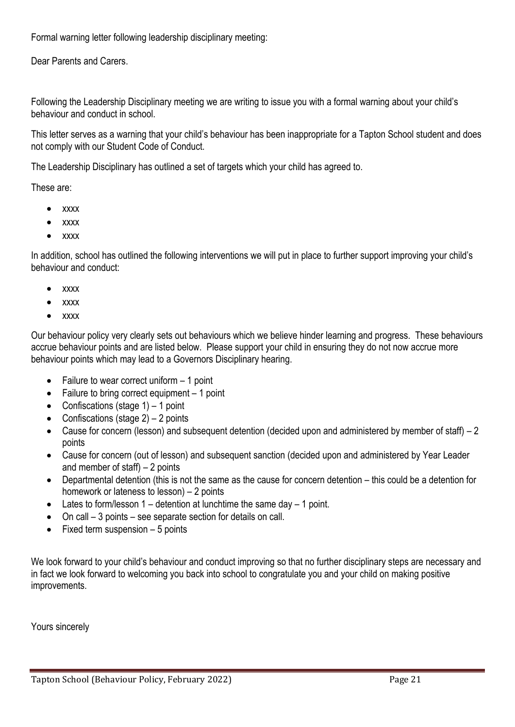Formal warning letter following leadership disciplinary meeting:

Dear Parents and Carers.

Following the Leadership Disciplinary meeting we are writing to issue you with a formal warning about your child's behaviour and conduct in school.

This letter serves as a warning that your child's behaviour has been inappropriate for a Tapton School student and does not comply with our Student Code of Conduct.

The Leadership Disciplinary has outlined a set of targets which your child has agreed to.

These are:

- xxxx
- xxxx
- xxxx

In addition, school has outlined the following interventions we will put in place to further support improving your child's behaviour and conduct:

- xxxx
- xxxx
- xxxx

Our behaviour policy very clearly sets out behaviours which we believe hinder learning and progress. These behaviours accrue behaviour points and are listed below. Please support your child in ensuring they do not now accrue more behaviour points which may lead to a Governors Disciplinary hearing.

- Failure to wear correct uniform 1 point
- Failure to bring correct equipment  $-1$  point
- Confiscations (stage  $1$ ) 1 point
- Confiscations (stage  $2$ ) 2 points
- Cause for concern (lesson) and subsequent detention (decided upon and administered by member of staff) 2 points
- Cause for concern (out of lesson) and subsequent sanction (decided upon and administered by Year Leader and member of staff)  $-2$  points
- Departmental detention (this is not the same as the cause for concern detention this could be a detention for homework or lateness to lesson) – 2 points
- Lates to form/lesson  $1$  detention at lunchtime the same day  $-1$  point.
- On call 3 points see separate section for details on call.
- Fixed term suspension 5 points

We look forward to your child's behaviour and conduct improving so that no further disciplinary steps are necessary and in fact we look forward to welcoming you back into school to congratulate you and your child on making positive improvements.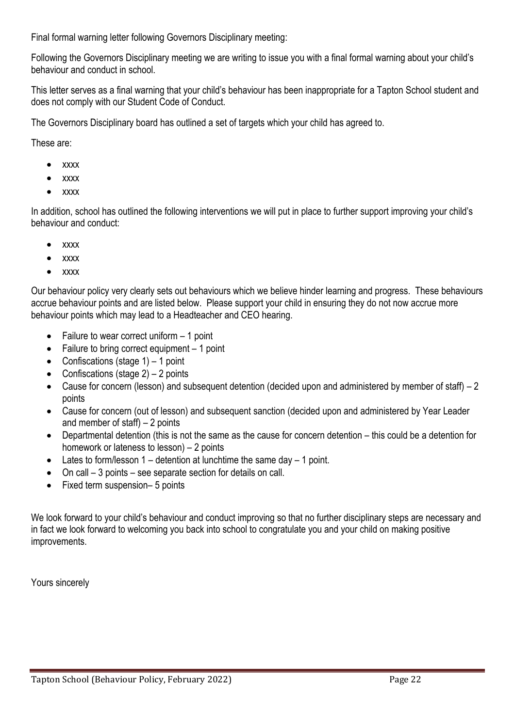Final formal warning letter following Governors Disciplinary meeting:

Following the Governors Disciplinary meeting we are writing to issue you with a final formal warning about your child's behaviour and conduct in school.

This letter serves as a final warning that your child's behaviour has been inappropriate for a Tapton School student and does not comply with our Student Code of Conduct.

The Governors Disciplinary board has outlined a set of targets which your child has agreed to.

These are:

- xxxx
- xxxx
- xxxx

In addition, school has outlined the following interventions we will put in place to further support improving your child's behaviour and conduct:

- xxxx
- xxxx
- xxxx

Our behaviour policy very clearly sets out behaviours which we believe hinder learning and progress. These behaviours accrue behaviour points and are listed below. Please support your child in ensuring they do not now accrue more behaviour points which may lead to a Headteacher and CEO hearing.

- Failure to wear correct uniform 1 point
- Failure to bring correct equipment 1 point
- Confiscations (stage  $1$ ) 1 point
- Confiscations (stage  $2$ ) 2 points
- Cause for concern (lesson) and subsequent detention (decided upon and administered by member of staff) 2 points
- Cause for concern (out of lesson) and subsequent sanction (decided upon and administered by Year Leader and member of staff) – 2 points
- Departmental detention (this is not the same as the cause for concern detention this could be a detention for homework or lateness to lesson) – 2 points
- Lates to form/lesson  $1 -$  detention at lunchtime the same day  $-1$  point.
- On call 3 points see separate section for details on call.
- Fixed term suspension– 5 points

We look forward to your child's behaviour and conduct improving so that no further disciplinary steps are necessary and in fact we look forward to welcoming you back into school to congratulate you and your child on making positive improvements.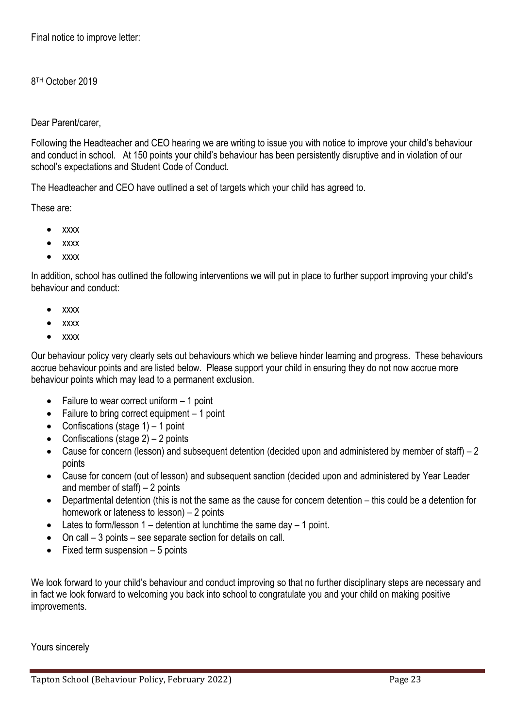Final notice to improve letter:

8 TH October 2019

Dear Parent/carer,

Following the Headteacher and CEO hearing we are writing to issue you with notice to improve your child's behaviour and conduct in school. At 150 points your child's behaviour has been persistently disruptive and in violation of our school's expectations and Student Code of Conduct.

The Headteacher and CEO have outlined a set of targets which your child has agreed to.

These are:

- xxxx
- xxxx
- xxxx

In addition, school has outlined the following interventions we will put in place to further support improving your child's behaviour and conduct:

- xxxx
- xxxx
- xxxx

Our behaviour policy very clearly sets out behaviours which we believe hinder learning and progress. These behaviours accrue behaviour points and are listed below. Please support your child in ensuring they do not now accrue more behaviour points which may lead to a permanent exclusion.

- Failure to wear correct uniform  $-1$  point
- Failure to bring correct equipment 1 point
- Confiscations (stage  $1$ ) 1 point
- Confiscations (stage  $2$ ) 2 points
- Cause for concern (lesson) and subsequent detention (decided upon and administered by member of staff) 2 points
- Cause for concern (out of lesson) and subsequent sanction (decided upon and administered by Year Leader and member of staff) – 2 points
- Departmental detention (this is not the same as the cause for concern detention this could be a detention for homework or lateness to lesson) – 2 points
- Lates to form/lesson  $1 -$  detention at lunchtime the same day  $-1$  point.
- On call 3 points see separate section for details on call.
- Fixed term suspension  $-5$  points

We look forward to your child's behaviour and conduct improving so that no further disciplinary steps are necessary and in fact we look forward to welcoming you back into school to congratulate you and your child on making positive improvements.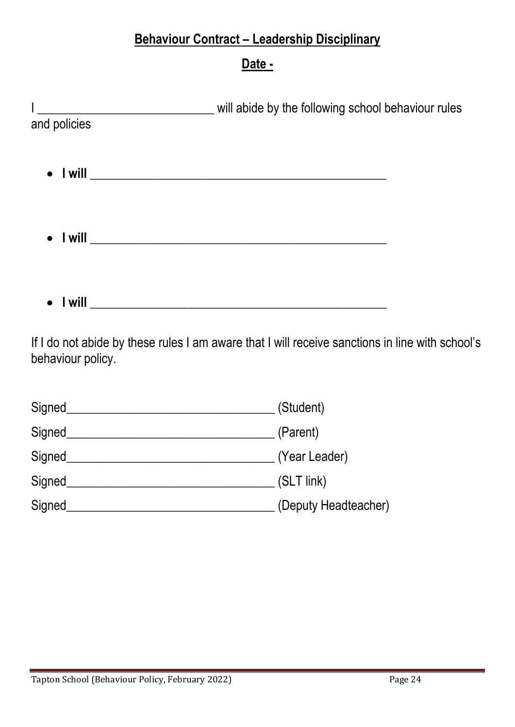#### **Behaviour Contract – Leadership Disciplinary**

#### **Date -**

|              | will abide by the following school behaviour rules |  |  |
|--------------|----------------------------------------------------|--|--|
| and policies |                                                    |  |  |
|              |                                                    |  |  |
|              |                                                    |  |  |
|              |                                                    |  |  |
|              |                                                    |  |  |
|              |                                                    |  |  |
|              |                                                    |  |  |
|              |                                                    |  |  |
|              |                                                    |  |  |

If I do not abide by these rules I am aware that I will receive sanctions in line with school's behaviour policy.

| Signed | (Student)            |
|--------|----------------------|
| Signed | (Parent)             |
| Signed | (Year Leader)        |
| Signed | (SLT link)           |
| Signed | (Deputy Headteacher) |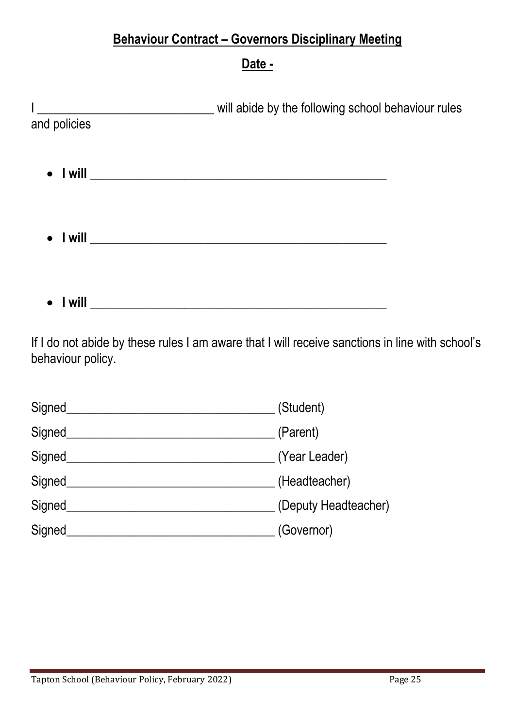#### **Behaviour Contract – Governors Disciplinary Meeting**

#### **Date -**

|              | will abide by the following school behaviour rules |  |
|--------------|----------------------------------------------------|--|
| and policies |                                                    |  |
|              |                                                    |  |
|              |                                                    |  |
|              |                                                    |  |
|              |                                                    |  |
|              |                                                    |  |
|              |                                                    |  |
|              |                                                    |  |
| l will       |                                                    |  |

If I do not abide by these rules I am aware that I will receive sanctions in line with school's behaviour policy.

| Signed | (Student)            |
|--------|----------------------|
| Signed | (Parent)             |
| Signed | (Year Leader)        |
| Signed | (Headteacher)        |
| Signed | (Deputy Headteacher) |
| Signed | (Governor)           |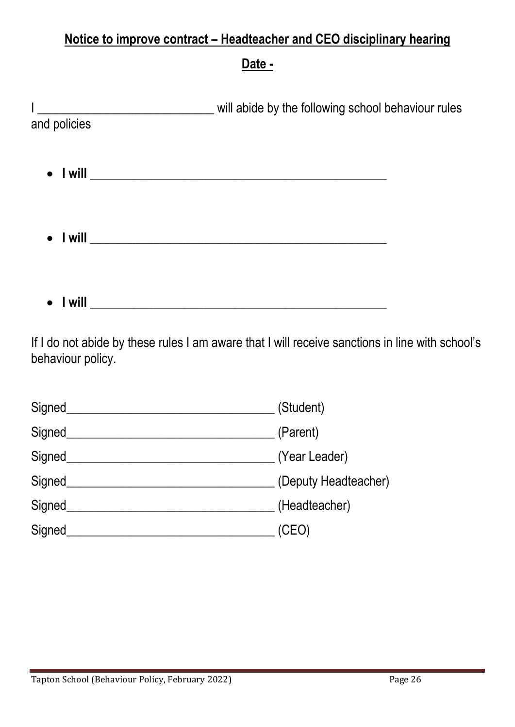#### **Notice to improve contract – Headteacher and CEO disciplinary hearing**

**Date -**

|              | will abide by the following school behaviour rules |  |
|--------------|----------------------------------------------------|--|
| and policies |                                                    |  |
|              |                                                    |  |
|              |                                                    |  |
|              |                                                    |  |
|              |                                                    |  |
|              |                                                    |  |
|              |                                                    |  |
|              |                                                    |  |
| l will       |                                                    |  |

If I do not abide by these rules I am aware that I will receive sanctions in line with school's behaviour policy.

| Signed | (Student)            |
|--------|----------------------|
| Signed | (Parent)             |
| Signed | (Year Leader)        |
| Signed | (Deputy Headteacher) |
| Signed | (Headteacher)        |
| Signed | (CEO)                |